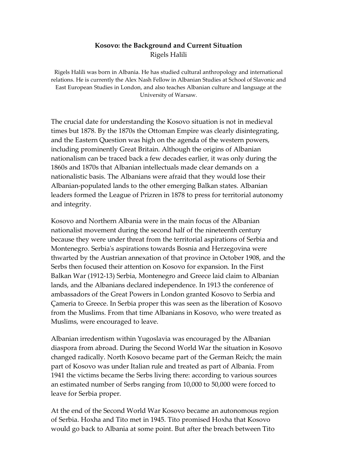## Kosovo: the Background and Current Situation Rigels Halili

Rigels Halili was born in Albania. He has studied cultural anthropology and international relations. He is currently the Alex Nash Fellow in Albanian Studies at School of Slavonic and East European Studies in London, and also teaches Albanian culture and language at the University of Warsaw.

The crucial date for understanding the Kosovo situation is not in medieval times but 1878. By the 1870s the Ottoman Empire was clearly disintegrating, and the Eastern Question was high on the agenda of the western powers, including prominently Great Britain. Although the origins of Albanian nationalism can be traced back a few decades earlier, it was only during the 1860s and 1870s that Albanian intellectuals made clear demands on a nationalistic basis. The Albanians were afraid that they would lose their Albanian-populated lands to the other emerging Balkan states. Albanian leaders formed the League of Prizren in 1878 to press for territorial autonomy and integrity.

Kosovo and Northern Albania were in the main focus of the Albanian nationalist movement during the second half of the nineteenth century because they were under threat from the territorial aspirations of Serbia and Montenegro. Serbia's aspirations towards Bosnia and Herzegovina were thwarted by the Austrian annexation of that province in October 1908, and the Serbs then focused their attention on Kosovo for expansion. In the First Balkan War (1912-13) Serbia, Montenegro and Greece laid claim to Albanian lands, and the Albanians declared independence. In 1913 the conference of ambassadors of the Great Powers in London granted Kosovo to Serbia and Çameria to Greece. In Serbia proper this was seen as the liberation of Kosovo from the Muslims. From that time Albanians in Kosovo, who were treated as Muslims, were encouraged to leave.

Albanian irredentism within Yugoslavia was encouraged by the Albanian diaspora from abroad. During the Second World War the situation in Kosovo changed radically. North Kosovo became part of the German Reich; the main part of Kosovo was under Italian rule and treated as part of Albania. From 1941 the victims became the Serbs living there: according to various sources an estimated number of Serbs ranging from 10,000 to 50,000 were forced to leave for Serbia proper.

At the end of the Second World War Kosovo became an autonomous region of Serbia. Hoxha and Tito met in 1945. Tito promised Hoxha that Kosovo would go back to Albania at some point. But after the breach between Tito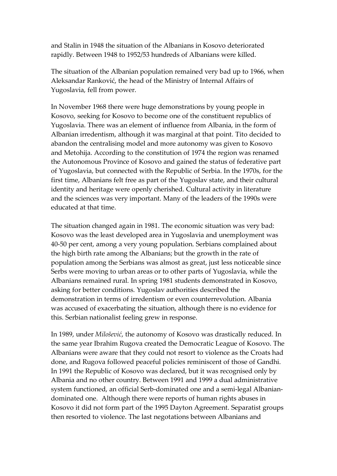and Stalin in 1948 the situation of the Albanians in Kosovo deteriorated rapidly. Between 1948 to 1952/53 hundreds of Albanians were killed.

The situation of the Albanian population remained very bad up to 1966, when Aleksandar Ranković, the head of the Ministry of Internal Affairs of Yugoslavia, fell from power.

In November 1968 there were huge demonstrations by young people in Kosovo, seeking for Kosovo to become one of the constituent republics of Yugoslavia. There was an element of influence from Albania, in the form of Albanian irredentism, although it was marginal at that point. Tito decided to abandon the centralising model and more autonomy was given to Kosovo and Metohija. According to the constitution of 1974 the region was renamed the Autonomous Province of Kosovo and gained the status of federative part of Yugoslavia, but connected with the Republic of Serbia. In the 1970s, for the first time, Albanians felt free as part of the Yugoslav state, and their cultural identity and heritage were openly cherished. Cultural activity in literature and the sciences was very important. Many of the leaders of the 1990s were educated at that time.

The situation changed again in 1981. The economic situation was very bad: Kosovo was the least developed area in Yugoslavia and unemployment was 40-50 per cent, among a very young population. Serbians complained about the high birth rate among the Albanians; but the growth in the rate of population among the Serbians was almost as great, just less noticeable since Serbs were moving to urban areas or to other parts of Yugoslavia, while the Albanians remained rural. In spring 1981 students demonstrated in Kosovo, asking for better conditions. Yugoslav authorities described the demonstration in terms of irredentism or even counterrevolution. Albania was accused of exacerbating the situation, although there is no evidence for this. Serbian nationalist feeling grew in response.

In 1989, under Milošević, the autonomy of Kosovo was drastically reduced. In the same year Ibrahim Rugova created the Democratic League of Kosovo. The Albanians were aware that they could not resort to violence as the Croats had done, and Rugova followed peaceful policies reminiscent of those of Gandhi. In 1991 the Republic of Kosovo was declared, but it was recognised only by Albania and no other country. Between 1991 and 1999 a dual administrative system functioned, an official Serb-dominated one and a semi-legal Albaniandominated one. Although there were reports of human rights abuses in Kosovo it did not form part of the 1995 Dayton Agreement. Separatist groups then resorted to violence. The last negotations between Albanians and